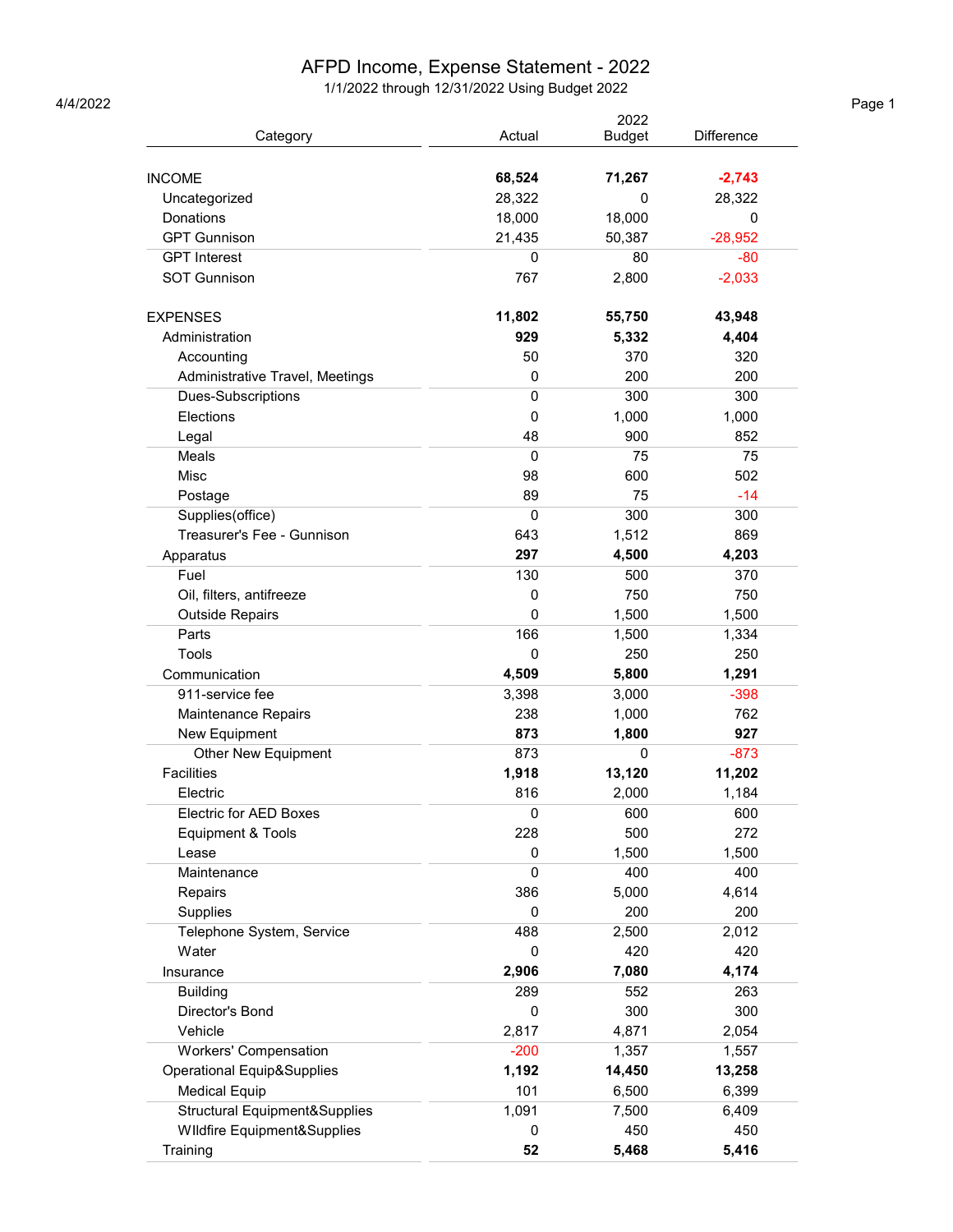## AFPD Income, Expense Statement - 2022

1/1/2022 through 12/31/2022 Using Budget 2022 4/4/2022 Page 1

|                                       |             | 2022          |                   |
|---------------------------------------|-------------|---------------|-------------------|
| Category                              | Actual      | <b>Budget</b> | <b>Difference</b> |
|                                       |             |               |                   |
| <b>INCOME</b>                         | 68,524      | 71,267        | $-2,743$          |
| Uncategorized                         | 28,322      | 0             | 28,322            |
| Donations                             | 18,000      | 18,000        | 0                 |
| <b>GPT Gunnison</b>                   | 21,435      | 50,387        | $-28,952$         |
| <b>GPT</b> Interest                   | 0           | 80            | $-80$             |
| <b>SOT Gunnison</b>                   | 767         | 2,800         | $-2,033$          |
| <b>EXPENSES</b>                       | 11,802      | 55,750        | 43,948            |
| Administration                        | 929         | 5,332         | 4,404             |
| Accounting                            | 50          | 370           | 320               |
| Administrative Travel, Meetings       | 0           | 200           | 200               |
| Dues-Subscriptions                    | 0           | 300           | 300               |
| Elections                             | 0           | 1,000         | 1,000             |
| Legal                                 | 48          | 900           | 852               |
| Meals                                 | $\mathbf 0$ | 75            | 75                |
| Misc                                  | 98          | 600           | 502               |
| Postage                               | 89          | 75            | $-14$             |
| Supplies(office)                      | 0           | 300           | 300               |
| Treasurer's Fee - Gunnison            | 643         | 1,512         | 869               |
| Apparatus                             | 297         | 4,500         | 4,203             |
| Fuel                                  | 130         | 500           | 370               |
| Oil, filters, antifreeze              | 0           | 750           | 750               |
| <b>Outside Repairs</b>                | 0           | 1,500         | 1,500             |
| Parts                                 | 166         | 1,500         | 1,334             |
| Tools                                 | 0           | 250           | 250               |
| Communication                         | 4,509       | 5,800         | 1,291             |
| 911-service fee                       | 3,398       | 3,000         | $-398$            |
| Maintenance Repairs                   | 238         | 1,000         | 762               |
| New Equipment                         | 873         | 1,800         | 927               |
| <b>Other New Equipment</b>            | 873         | 0             | $-873$            |
| <b>Facilities</b>                     | 1,918       | 13,120        | 11,202            |
| Electric                              | 816         | 2,000         | 1,184             |
| Electric for AED Boxes                | 0           | 600           | 600               |
| Equipment & Tools                     | 228         | 500           | 272               |
| Lease                                 | 0           | 1,500         | 1,500             |
| Maintenance                           | 0           | 400           | 400               |
| Repairs                               | 386         | 5,000         | 4,614             |
| Supplies                              | 0           | 200           | 200               |
| Telephone System, Service             | 488         | 2,500         | 2,012             |
| Water                                 | 0           | 420           | 420               |
| Insurance                             | 2,906       | 7,080         | 4,174             |
| <b>Building</b>                       | 289         | 552           | 263               |
| Director's Bond                       | 0           | 300           | 300               |
| Vehicle                               | 2,817       | 4,871         | 2,054             |
| Workers' Compensation                 | $-200$      | 1,357         |                   |
| <b>Operational Equip&amp;Supplies</b> | 1,192       | 14,450        | 1,557<br>13,258   |
|                                       | 101         | 6,500         | 6,399             |
| <b>Medical Equip</b>                  |             |               |                   |
| Structural Equipment&Supplies         | 1,091       | 7,500         | 6,409             |
| Wildfire Equipment&Supplies           | 0           | 450           | 450               |
| Training                              | 52          | 5,468         | 5,416             |